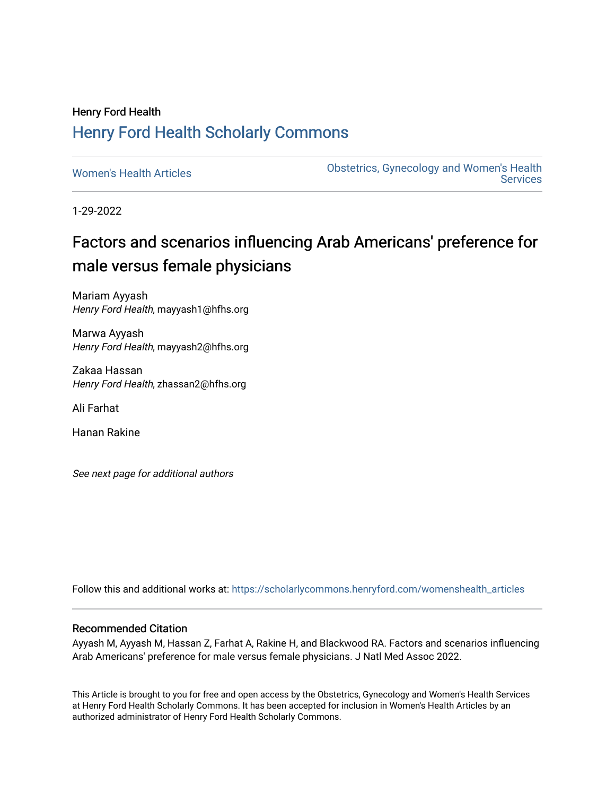## Henry Ford Health [Henry Ford Health Scholarly Commons](https://scholarlycommons.henryford.com/)

[Women's Health Articles](https://scholarlycommons.henryford.com/womenshealth_articles) **Constructed Articles** Obstetrics, Gynecology and Women's Health **Services** 

1-29-2022

# Factors and scenarios influencing Arab Americans' preference for male versus female physicians

Mariam Ayyash Henry Ford Health, mayyash1@hfhs.org

Marwa Ayyash Henry Ford Health, mayyash2@hfhs.org

Zakaa Hassan Henry Ford Health, zhassan2@hfhs.org

Ali Farhat

Hanan Rakine

See next page for additional authors

Follow this and additional works at: [https://scholarlycommons.henryford.com/womenshealth\\_articles](https://scholarlycommons.henryford.com/womenshealth_articles?utm_source=scholarlycommons.henryford.com%2Fwomenshealth_articles%2F107&utm_medium=PDF&utm_campaign=PDFCoverPages) 

#### Recommended Citation

Ayyash M, Ayyash M, Hassan Z, Farhat A, Rakine H, and Blackwood RA. Factors and scenarios influencing Arab Americans' preference for male versus female physicians. J Natl Med Assoc 2022.

This Article is brought to you for free and open access by the Obstetrics, Gynecology and Women's Health Services at Henry Ford Health Scholarly Commons. It has been accepted for inclusion in Women's Health Articles by an authorized administrator of Henry Ford Health Scholarly Commons.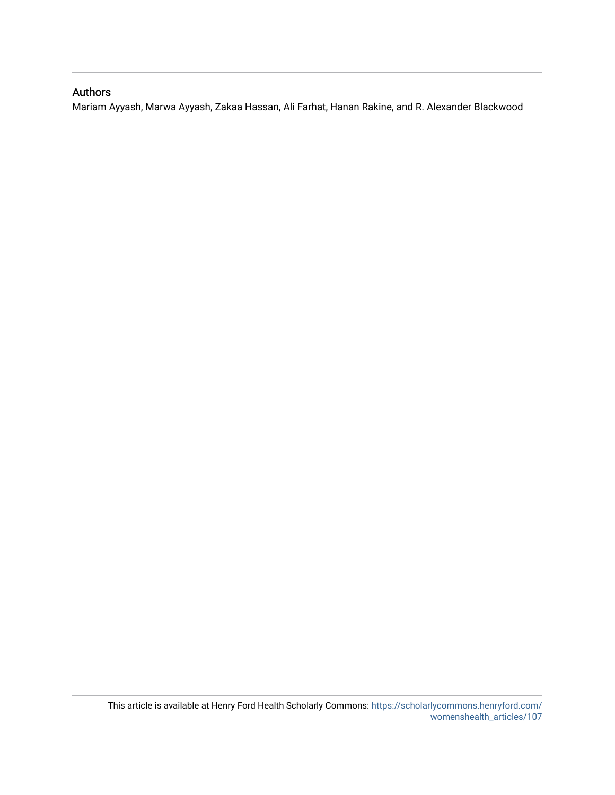#### Authors

Mariam Ayyash, Marwa Ayyash, Zakaa Hassan, Ali Farhat, Hanan Rakine, and R. Alexander Blackwood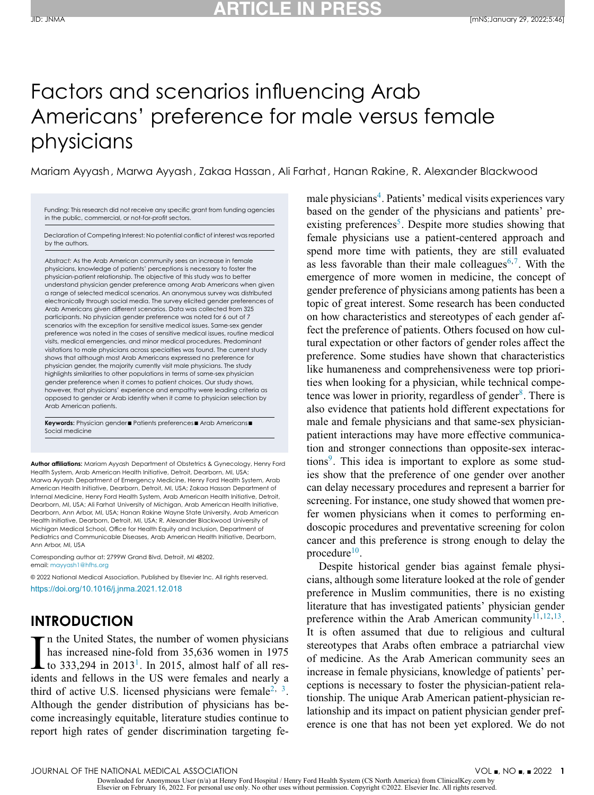# Factors and scenarios influencing Arab Americans' preference for male versus female physicians

Mariam Ayyash, Marwa Ayyash, Zakaa Hassan, Ali Farhat, Hanan Rakine, R. Alexander Blackwood

Funding: This research did not receive any specific grant from funding agencies in the public, commercial, or not-for-profit sectors.

Declaration of Competing Interest: No potential conflict of interest was reported by the authors.

*Abstract:* As the Arab American community sees an increase in female physicians, knowledge of patients' perceptions is necessary to foster the physician-patient relationship. The objective of this study was to better understand physician gender preference among Arab Americans when given a range of selected medical scenarios. An anonymous survey was distributed electronically through social media. The survey elicited gender preferences of Arab Americans given different scenarios. Data was collected from 325 participants. No physician gender preference was noted for 6 out of 7 scenarios with the exception for sensitive medical issues. Same-sex gender preference was noted in the cases of sensitive medical issues, routine medical visits, medical emergencies, and minor medical procedures. Predominant visitations to male physicians across specialties was found. The current study shows that although most Arab Americans expressed no preference for physician gender, the majority currently visit male physicians. The study highlights similarities to other populations in terms of same-sex physician gender preference when it comes to patient choices. Our study shows, however, that physicians' experience and empathy were leading criteria as opposed to gender or Arab identity when it came to physician selection by Arab American patients.

**Keywords:** Physician gender■ Patients preferences■ Arab Americans■ Social medicine

**Author affiliations:** Mariam Ayyash Department of Obstetrics & Gynecology, Henry Ford Health System, Arab American Health Initiative, Detroit, Dearborn, MI, USA; Marwa Ayyash Department of Emergency Medicine, Henry Ford Health System, Arab American Health Initiative, Dearborn, Detroit, MI, USA; Zakaa Hassan Department of Internal Medicine, Henry Ford Health System, Arab American Health Initiative, Detroit, Dearborn, MI, USA; Ali Farhat University of Michigan, Arab American Health Initiative, Dearborn, Ann Arbor, MI, USA; Hanan Rakine Wayne State University, Arab American Health Initiative, Dearborn, Detroit, MI, USA; R. Alexander Blackwood University of Michigan Medical School, Office for Health Equity and Inclusion, Department of Pediatrics and Communicable Diseases, Arab American Health Initiative, Dearborn, Ann Arbor, MI, USA

Corresponding author at: 2799W Grand Blvd, Detroit, MI 48202. email: [mayyash1@hfhs.org](mailto:mayyash1@hfhs.org)

© 2022 National Medical Association. Published by Elsevier Inc. All rights reserved. <https://doi.org/10.1016/j.jnma.2021.12.018>

#### **INTRODUCTION**

 $\prod_{\text{iden}}$ n the United States, the number of women physicians has increased nine-fold from 35,636 women in 1975 to 333,294 in  $2013<sup>1</sup>$ . In 2015, almost half of all residents and fellows in the US were females and nearly a third of active U.S. licensed physicians were female<sup>[2,](#page-8-0) 3</sup>. Although the gender distribution of physicians has become increasingly equitable, literature studies continue to report high rates of gender discrimination targeting fe-

male physicians<sup>4</sup>. Patients' medical visits experiences vary based on the gender of the physicians and patients' preexisting preferences<sup>5</sup>. Despite more studies showing that female physicians use a patient-centered approach and spend more time with patients, they are still evaluated as less favorable than their male colleagues<sup>6,7</sup>. With the emergence of more women in medicine, the concept of gender preference of physicians among patients has been a topic of great interest. Some research has been conducted on how characteristics and stereotypes of each gender affect the preference of patients. Others focused on how cultural expectation or other factors of gender roles affect the preference. Some studies have shown that characteristics like humaneness and comprehensiveness were top priorities when looking for a physician, while technical competence was lower in priority, regardless of gender<sup>8</sup>. There is also evidence that patients hold different expectations for male and female physicians and that same-sex physicianpatient interactions may have more effective communication and stronger connections than opposite-sex interactions<sup>9</sup>. This idea is important to explore as some studies show that the preference of one gender over another can delay necessary procedures and represent a barrier for screening. For instance, one study showed that women prefer women physicians when it comes to performing endoscopic procedures and preventative screening for colon cancer and this preference is strong enough to delay the procedure $10$ .

Despite historical gender bias against female physicians, although some literature looked at the role of gender preference in Muslim communities, there is no existing literature that has investigated patients' physician gender preference within the Arab American community $11,12,13$ . It is often assumed that due to religious and cultural stereotypes that Arabs often embrace a patriarchal view of medicine. As the Arab American community sees an increase in female physicians, knowledge of patients' perceptions is necessary to foster the physician-patient relationship. The unique Arab American patient-physician relationship and its impact on patient physician gender preference is one that has not been yet explored. We do not

JOURNAL OF THE NATIONAL MEDICAL ASSOCIATION

Downloaded for Anonymous User (n/a) at Henry Ford Hospital / Henry Ford Health System (CS North America) from ClinicalKey.com by Elsevier on February 16, 2022. For personal use only. No other uses without permission. Copyright ©2022. Elsevier Inc. All rights reserved.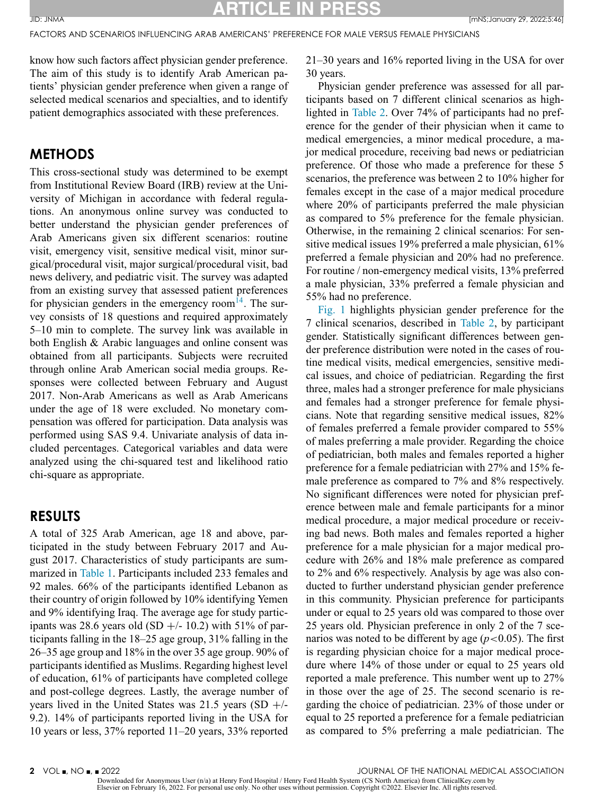**ARTICLE IN PRESS** JID: JNMA [mNS;January 29, 2022;5:46]

FACTORS AND SCENARIOS INFLUENCING ARAB AMERICANS' PREFERENCE FOR MALE VERSUS FEMALE PHYSICIANS

know how such factors affect physician gender preference. The aim of this study is to identify Arab American patients' physician gender preference when given a range of selected medical scenarios and specialties, and to identify patient demographics associated with these preferences.

#### **METHODS**

This cross-sectional study was determined to be exempt from Institutional Review Board (IRB) review at the University of Michigan in accordance with federal regulations. An anonymous online survey was conducted to better understand the physician gender preferences of Arab Americans given six different scenarios: routine visit, emergency visit, sensitive medical visit, minor surgical/procedural visit, major surgical/procedural visit, bad news delivery, and pediatric visit. The survey was adapted from an existing survey that assessed patient preferences for physician genders in the emergency room $^{14}$ . The survey consists of 18 questions and required approximately 5–10 min to complete. The survey link was available in both English & Arabic languages and online consent was obtained from all participants. Subjects were recruited through online Arab American social media groups. Responses were collected between February and August 2017. Non-Arab Americans as well as Arab Americans under the age of 18 were excluded. No monetary compensation was offered for participation. Data analysis was performed using SAS 9.4. Univariate analysis of data included percentages. Categorical variables and data were analyzed using the chi-squared test and likelihood ratio chi-square as appropriate.

#### **RESULTS**

A total of 325 Arab American, age 18 and above, participated in the study between February 2017 and August 2017. Characteristics of study participants are summarized in [Table](#page-4-0) 1. Participants included 233 females and 92 males. 66% of the participants identified Lebanon as their country of origin followed by 10% identifying Yemen and 9% identifying Iraq. The average age for study participants was 28.6 years old  $(SD +1/-10.2)$  with 51% of participants falling in the 18–25 age group, 31% falling in the 26–35 age group and 18% in the over 35 age group. 90% of participants identified as Muslims. Regarding highest level of education, 61% of participants have completed college and post-college degrees. Lastly, the average number of years lived in the United States was 21.5 years  $(SD +$ /-9.2). 14% of participants reported living in the USA for 10 years or less, 37% reported 11–20 years, 33% reported 21–30 years and 16% reported living in the USA for over 30 years.

Physician gender preference was assessed for all participants based on 7 different clinical scenarios as highlighted in [Table](#page-5-0) 2. Over 74% of participants had no preference for the gender of their physician when it came to medical emergencies, a minor medical procedure, a major medical procedure, receiving bad news or pediatrician preference. Of those who made a preference for these 5 scenarios, the preference was between 2 to 10% higher for females except in the case of a major medical procedure where 20% of participants preferred the male physician as compared to 5% preference for the female physician. Otherwise, in the remaining 2 clinical scenarios: For sensitive medical issues 19% preferred a male physician, 61% preferred a female physician and 20% had no preference. For routine / non-emergency medical visits, 13% preferred a male physician, 33% preferred a female physician and 55% had no preference.

[Fig.](#page-5-0) 1 highlights physician gender preference for the 7 clinical scenarios, described in [Table](#page-5-0) 2, by participant gender. Statistically significant differences between gender preference distribution were noted in the cases of routine medical visits, medical emergencies, sensitive medical issues, and choice of pediatrician. Regarding the first three, males had a stronger preference for male physicians and females had a stronger preference for female physicians. Note that regarding sensitive medical issues, 82% of females preferred a female provider compared to 55% of males preferring a male provider. Regarding the choice of pediatrician, both males and females reported a higher preference for a female pediatrician with 27% and 15% female preference as compared to 7% and 8% respectively. No significant differences were noted for physician preference between male and female participants for a minor medical procedure, a major medical procedure or receiving bad news. Both males and females reported a higher preference for a male physician for a major medical procedure with 26% and 18% male preference as compared to 2% and 6% respectively. Analysis by age was also conducted to further understand physician gender preference in this community. Physician preference for participants under or equal to 25 years old was compared to those over 25 years old. Physician preference in only 2 of the 7 scenarios was noted to be different by age  $(p<0.05)$ . The first is regarding physician choice for a major medical procedure where 14% of those under or equal to 25 years old reported a male preference. This number went up to 27% in those over the age of 25. The second scenario is regarding the choice of pediatrician. 23% of those under or equal to 25 reported a preference for a female pediatrician as compared to 5% preferring a male pediatrician. The

Downloaded for Anonymous User (n/a) at Henry Ford Hospital / Henry Ford Health System (CS North America) from ClinicalKey.com by<br>Elsevier on February 16, 2022. For personal use only. No other uses without permission. Copyr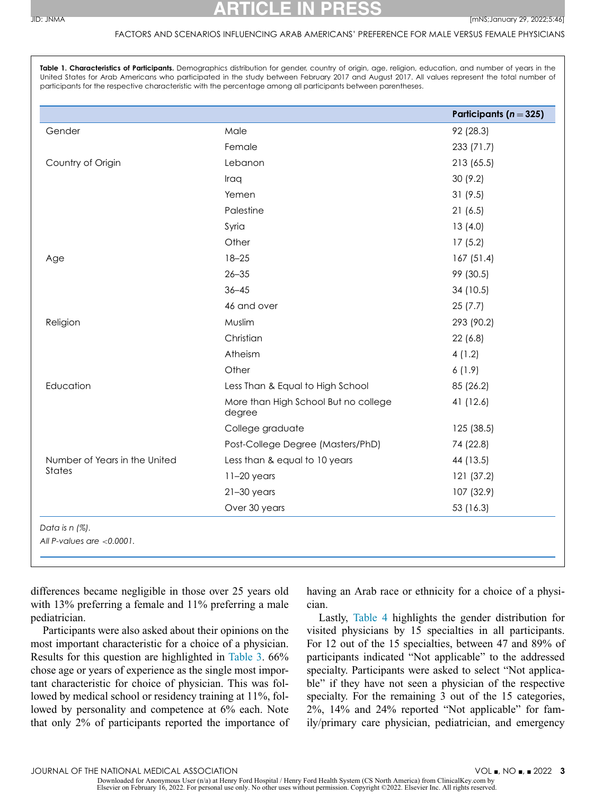#### FACTORS AND SCENARIOS INFLUENCING ARAB AMERICANS' PREFERENCE FOR MALE VERSUS FEMALE PHYSICIANS

<span id="page-4-0"></span>**Table 1. Characteristics of Participants.** Demographics distribution for gender, country of origin, age, religion, education, and number of years in the United States for Arab Americans who participated in the study between February 2017 and August 2017. All values represent the total number of participants for the respective characteristic with the percentage among all participants between parentheses.

|                                         |                                                | Participants ( $n = 325$ ) |
|-----------------------------------------|------------------------------------------------|----------------------------|
| Gender                                  | Male                                           | 92 (28.3)                  |
|                                         | Female                                         | 233 (71.7)                 |
| Country of Origin                       | Lebanon                                        | 213 (65.5)                 |
|                                         | Iraq                                           | 30(9.2)                    |
|                                         | Yemen                                          | 31(9.5)                    |
|                                         | Palestine                                      | 21(6.5)                    |
|                                         | Syria                                          | 13(4.0)                    |
|                                         | Other                                          | 17(5.2)                    |
| Age                                     | $18 - 25$                                      | 167(51.4)                  |
|                                         | $26 - 35$                                      | 99 (30.5)                  |
|                                         | $36 - 45$                                      | 34 (10.5)                  |
|                                         | 46 and over                                    | 25(7.7)                    |
| Religion                                | Muslim                                         | 293 (90.2)                 |
|                                         | Christian                                      | 22(6.8)                    |
|                                         | Atheism                                        | 4(1.2)                     |
|                                         | Other                                          | 6(1.9)                     |
| Education                               | Less Than & Equal to High School               | 85 (26.2)                  |
|                                         | More than High School But no college<br>degree | 41 (12.6)                  |
|                                         | College graduate                               | 125 (38.5)                 |
|                                         | Post-College Degree (Masters/PhD)              | 74 (22.8)                  |
| Number of Years in the United<br>States | Less than & equal to 10 years                  | 44 (13.5)                  |
|                                         | $11-20$ years                                  | 121 (37.2)                 |
|                                         | $21-30$ years                                  | 107 (32.9)                 |
|                                         | Over 30 years                                  | 53 (16.3)                  |

differences became negligible in those over 25 years old with 13% preferring a female and 11% preferring a male pediatrician.

Participants were also asked about their opinions on the most important characteristic for a choice of a physician. Results for this question are highlighted in [Table](#page-6-0) 3. 66% chose age or years of experience as the single most important characteristic for choice of physician. This was followed by medical school or residency training at 11%, followed by personality and competence at 6% each. Note that only 2% of participants reported the importance of having an Arab race or ethnicity for a choice of a physician.

Lastly, [Table](#page-7-0) 4 highlights the gender distribution for visited physicians by 15 specialties in all participants. For 12 out of the 15 specialties, between 47 and 89% of participants indicated "Not applicable" to the addressed specialty. Participants were asked to select "Not applicable" if they have not seen a physician of the respective specialty. For the remaining 3 out of the 15 categories, 2%, 14% and 24% reported "Not applicable" for family/primary care physician, pediatrician, and emergency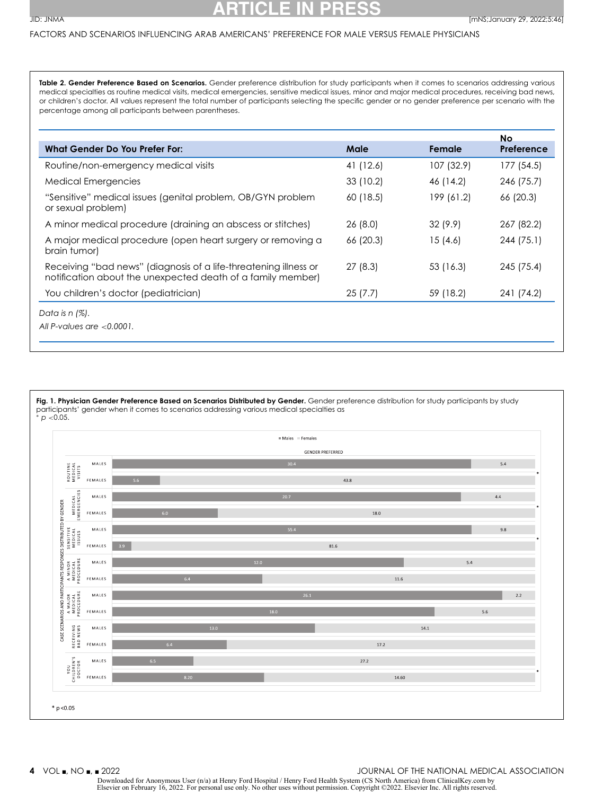#### <span id="page-5-0"></span>FACTORS AND SCENARIOS INFLUENCING ARAB AMERICANS' PREFERENCE FOR MALE VERSUS FEMALE PHYSICIANS

**Table 2. Gender Preference Based on Scenarios.** Gender preference distribution for study participants when it comes to scenarios addressing various medical specialties as routine medical visits, medical emergencies, sensitive medical issues, minor and major medical procedures, receiving bad news, or children's doctor. All values represent the total number of participants selecting the specific gender or no gender preference per scenario with the percentage among all participants between parentheses.

|                                                                                                                                 |           |            | No         |
|---------------------------------------------------------------------------------------------------------------------------------|-----------|------------|------------|
| <b>What Gender Do You Prefer For:</b>                                                                                           | Male      | Female     | Preference |
| Routine/non-emergency medical visits                                                                                            | 41 (12.6) | 107 (32.9) | 177 (54.5) |
| Medical Emergencies                                                                                                             | 33(10.2)  | 46 (14.2)  | 246 (75.7) |
| "Sensitive" medical issues (genital problem, OB/GYN problem<br>or sexual problem)                                               | 60 (18.5) | 199 (61.2) | 66 (20.3)  |
| A minor medical procedure (draining an abscess or stitches)                                                                     | 26(8.0)   | 32(9.9)    | 267 (82.2) |
| A major medical procedure (open heart surgery or removing a<br>brain tumor)                                                     | 66 (20.3) | 15(4.6)    | 244 (75.1) |
| Receiving "bad news" (diagnosis of a life-threatening illness or<br>notification about the unexpected death of a family member) | 27(8.3)   | 53 (16.3)  | 245 (75.4) |
| You children's doctor (pediatrician)                                                                                            | 25(7.7)   | 59 (18.2)  | 241 (74.2) |
| Data is $n$ (%).                                                                                                                |           |            |            |
| All P-values are $< 0.0001$ .                                                                                                   |           |            |            |
|                                                                                                                                 |           |            |            |

**Fig. 1. Physician Gender Preference Based on Scenarios Distributed by Gender.** Gender preference distribution for study participants by study participants' gender when it comes to scenarios addressing various medical specialties as

<sup>∗</sup> *p* <0.05.



Downloaded for Anonymous User (n/a) at Henry Ford Hospital / Henry Ford Health System (CS North America) from ClinicalKey.com by<br>Elsevier on February 16, 2022. For personal use only. No other uses without permission. Copyr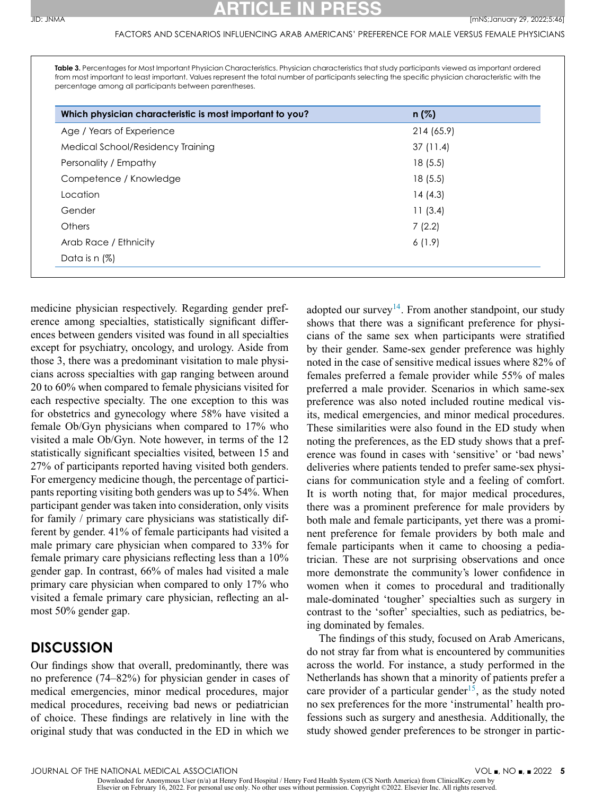#### FACTORS AND SCENARIOS INFLUENCING ARAB AMERICANS' PREFERENCE FOR MALE VERSUS FEMALE PHYSICIANS

<span id="page-6-0"></span>**Table 3.** Percentages for Most Important Physician Characteristics. Physician characteristics that study participants viewed as important ordered from most important to least important. Values represent the total number of participants selecting the specific physician characteristic with the percentage among all participants between parentheses.

| Which physician characteristic is most important to you? | $n(\%)$    |  |
|----------------------------------------------------------|------------|--|
| Age / Years of Experience                                | 214 (65.9) |  |
| Medical School/Residency Training                        | 37(11.4)   |  |
| Personality / Empathy                                    | 18(5.5)    |  |
| Competence / Knowledge                                   | 18(5.5)    |  |
| Location                                                 | 14 (4.3)   |  |
| Gender                                                   | 11(3.4)    |  |
| <b>Others</b>                                            | 7(2.2)     |  |
| Arab Race / Ethnicity                                    | 6(1.9)     |  |
| Data is $n$ (%)                                          |            |  |

medicine physician respectively. Regarding gender preference among specialties, statistically significant differences between genders visited was found in all specialties except for psychiatry, oncology, and urology. Aside from those 3, there was a predominant visitation to male physicians across specialties with gap ranging between around 20 to 60% when compared to female physicians visited for each respective specialty. The one exception to this was for obstetrics and gynecology where 58% have visited a female Ob/Gyn physicians when compared to 17% who visited a male Ob/Gyn. Note however, in terms of the 12 statistically significant specialties visited, between 15 and 27% of participants reported having visited both genders. For emergency medicine though, the percentage of participants reporting visiting both genders was up to 54%. When participant gender was taken into consideration, only visits for family / primary care physicians was statistically different by gender. 41% of female participants had visited a male primary care physician when compared to 33% for female primary care physicians reflecting less than a 10% gender gap. In contrast, 66% of males had visited a male primary care physician when compared to only 17% who visited a female primary care physician, reflecting an almost 50% gender gap.

#### **DISCUSSION**

Our findings show that overall, predominantly, there was no preference (74–82%) for physician gender in cases of medical emergencies, minor medical procedures, major medical procedures, receiving bad news or pediatrician of choice. These findings are relatively in line with the original study that was conducted in the ED in which we

adopted our survey<sup>14</sup>. From another standpoint, our study shows that there was a significant preference for physicians of the same sex when participants were stratified by their gender. Same-sex gender preference was highly noted in the case of sensitive medical issues where 82% of females preferred a female provider while 55% of males preferred a male provider. Scenarios in which same-sex preference was also noted included routine medical visits, medical emergencies, and minor medical procedures. These similarities were also found in the ED study when noting the preferences, as the ED study shows that a preference was found in cases with 'sensitive' or 'bad news' deliveries where patients tended to prefer same-sex physicians for communication style and a feeling of comfort. It is worth noting that, for major medical procedures, there was a prominent preference for male providers by both male and female participants, yet there was a prominent preference for female providers by both male and female participants when it came to choosing a pediatrician. These are not surprising observations and once more demonstrate the community's lower confidence in women when it comes to procedural and traditionally male-dominated 'tougher' specialties such as surgery in contrast to the 'softer' specialties, such as pediatrics, being dominated by females.

The findings of this study, focused on Arab Americans, do not stray far from what is encountered by communities across the world. For instance, a study performed in the Netherlands has shown that a minority of patients prefer a care provider of a particular gender<sup>15</sup>, as the study noted no sex preferences for the more 'instrumental' health professions such as surgery and anesthesia. Additionally, the study showed gender preferences to be stronger in partic-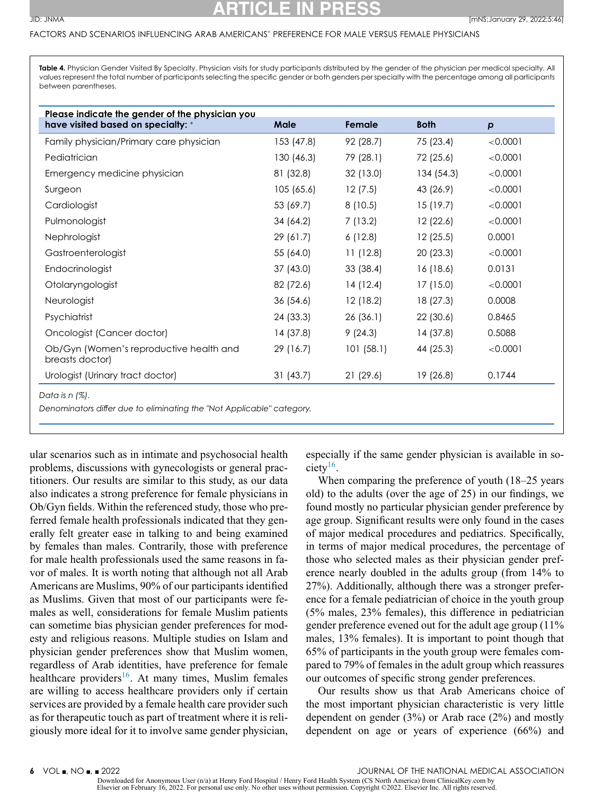#### <span id="page-7-0"></span>FACTORS AND SCENARIOS INFLUENCING ARAB AMERICANS' PREFERENCE FOR MALE VERSUS FEMALE PHYSICIANS

**Table 4.** Physician Gender Visited By Specialty. Physician visits for study participants distributed by the gender of the physician per medical specialty. All values represent the total number of participants selecting the specific gender or both genders per specialty with the percentage among all participants between parentheses.

| Please indicate the gender of the physician you            | Male       | Female    | <b>Both</b> |          |
|------------------------------------------------------------|------------|-----------|-------------|----------|
| have visited based on specialty: *                         |            |           |             | p        |
| Family physician/Primary care physician                    | 153 (47.8) | 92 (28.7) | 75 (23.4)   | < 0.0001 |
| Pediatrician                                               | 130 (46.3) | 79 (28.1) | 72 (25.6)   | < 0.0001 |
| Emergency medicine physician                               | 81 (32.8)  | 32 (13.0) | 134 (54.3)  | < 0.0001 |
| Surgeon                                                    | 105(65.6)  | 12(7.5)   | 43 (26.9)   | < 0.0001 |
| Cardiologist                                               | 53 (69.7)  | 8(10.5)   | 15(19.7)    | < 0.0001 |
| Pulmonologist                                              | 34 (64.2)  | 7(13.2)   | 12(22.6)    | < 0.0001 |
| Nephrologist                                               | 29(61.7)   | 6(12.8)   | 12(25.5)    | 0.0001   |
| Gastroenterologist                                         | 55 (64.0)  | 11(12.8)  | 20(23.3)    | < 0.0001 |
| Endocrinologist                                            | 37(43.0)   | 33(38.4)  | 16(18.6)    | 0.0131   |
| Otolaryngologist                                           | 82 (72.6)  | 14(12.4)  | 17(15.0)    | < 0.0001 |
| Neurologist                                                | 36(54.6)   | 12(18.2)  | 18 (27.3)   | 0.0008   |
| Psychiatrist                                               | 24 (33.3)  | 26(36.1)  | 22(30.6)    | 0.8465   |
| Oncologist (Cancer doctor)                                 | 14(37.8)   | 9(24.3)   | 14(37.8)    | 0.5088   |
| Ob/Gyn (Women's reproductive health and<br>breasts doctor) | 29 (16.7)  | 101(58.1) | 44 (25.3)   | < 0.0001 |
| Urologist (Urinary tract doctor)                           | 31(43.7)   | 21(29.6)  | 19 (26.8)   | 0.1744   |

ular scenarios such as in intimate and psychosocial health problems, discussions with gynecologists or general practitioners. Our results are similar to this study, as our data also indicates a strong preference for female physicians in Ob/Gyn fields. Within the referenced study, those who preferred female health professionals indicated that they generally felt greater ease in talking to and being examined by females than males. Contrarily, those with preference for male health professionals used the same reasons in favor of males. It is worth noting that although not all Arab Americans are Muslims, 90% of our participants identified as Muslims. Given that most of our participants were females as well, considerations for female Muslim patients can sometime bias physician gender preferences for modesty and religious reasons. Multiple studies on Islam and physician gender preferences show that Muslim women, regardless of Arab identities, have preference for female healthcare providers<sup>16</sup>. At many times, Muslim females are willing to access healthcare providers only if certain services are provided by a female health care provider such as for therapeutic touch as part of treatment where it is religiously more ideal for it to involve same gender physician,

especially if the same gender physician is available in society<sup>16</sup>.

When comparing the preference of youth (18–25 years old) to the adults (over the age of 25) in our findings, we found mostly no particular physician gender preference by age group. Significant results were only found in the cases of major medical procedures and pediatrics. Specifically, in terms of major medical procedures, the percentage of those who selected males as their physician gender preference nearly doubled in the adults group (from 14% to 27%). Additionally, although there was a stronger preference for a female pediatrician of choice in the youth group (5% males, 23% females), this difference in pediatrician gender preference evened out for the adult age group (11% males, 13% females). It is important to point though that 65% of participants in the youth group were females compared to 79% of females in the adult group which reassures our outcomes of specific strong gender preferences.

Our results show us that Arab Americans choice of the most important physician characteristic is very little dependent on gender (3%) or Arab race (2%) and mostly dependent on age or years of experience (66%) and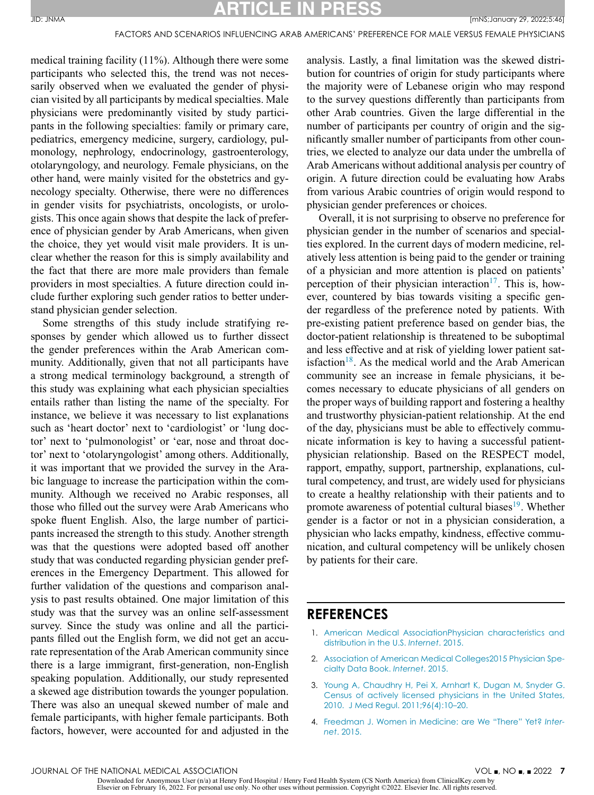## **ATICLE IN PR**

<span id="page-8-0"></span>medical training facility (11%). Although there were some participants who selected this, the trend was not necessarily observed when we evaluated the gender of physician visited by all participants by medical specialties. Male physicians were predominantly visited by study participants in the following specialties: family or primary care, pediatrics, emergency medicine, surgery, cardiology, pulmonology, nephrology, endocrinology, gastroenterology, otolaryngology, and neurology. Female physicians, on the other hand, were mainly visited for the obstetrics and gynecology specialty. Otherwise, there were no differences in gender visits for psychiatrists, oncologists, or urologists. This once again shows that despite the lack of preference of physician gender by Arab Americans, when given the choice, they yet would visit male providers. It is unclear whether the reason for this is simply availability and the fact that there are more male providers than female providers in most specialties. A future direction could include further exploring such gender ratios to better understand physician gender selection.

Some strengths of this study include stratifying responses by gender which allowed us to further dissect the gender preferences within the Arab American community. Additionally, given that not all participants have a strong medical terminology background, a strength of this study was explaining what each physician specialties entails rather than listing the name of the specialty. For instance, we believe it was necessary to list explanations such as 'heart doctor' next to 'cardiologist' or 'lung doctor' next to 'pulmonologist' or 'ear, nose and throat doctor' next to 'otolaryngologist' among others. Additionally, it was important that we provided the survey in the Arabic language to increase the participation within the community. Although we received no Arabic responses, all those who filled out the survey were Arab Americans who spoke fluent English. Also, the large number of participants increased the strength to this study. Another strength was that the questions were adopted based off another study that was conducted regarding physician gender preferences in the Emergency Department. This allowed for further validation of the questions and comparison analysis to past results obtained. One major limitation of this study was that the survey was an online self-assessment survey. Since the study was online and all the participants filled out the English form, we did not get an accurate representation of the Arab American community since there is a large immigrant, first-generation, non-English speaking population. Additionally, our study represented a skewed age distribution towards the younger population. There was also an unequal skewed number of male and female participants, with higher female participants. Both factors, however, were accounted for and adjusted in the

analysis. Lastly, a final limitation was the skewed distribution for countries of origin for study participants where the majority were of Lebanese origin who may respond to the survey questions differently than participants from other Arab countries. Given the large differential in the number of participants per country of origin and the significantly smaller number of participants from other countries, we elected to analyze our data under the umbrella of Arab Americans without additional analysis per country of origin. A future direction could be evaluating how Arabs from various Arabic countries of origin would respond to physician gender preferences or choices.

Overall, it is not surprising to observe no preference for physician gender in the number of scenarios and specialties explored. In the current days of modern medicine, relatively less attention is being paid to the gender or training of a physician and more attention is placed on patients' perception of their physician interaction<sup>17</sup>. This is, however, countered by bias towards visiting a specific gender regardless of the preference noted by patients. With pre-existing patient preference based on gender bias, the doctor-patient relationship is threatened to be suboptimal and less effective and at risk of yielding lower patient satisfaction<sup>18</sup>. As the medical world and the Arab American community see an increase in female physicians, it becomes necessary to educate physicians of all genders on the proper ways of building rapport and fostering a healthy and trustworthy physician-patient relationship. At the end of the day, physicians must be able to effectively communicate information is key to having a successful patientphysician relationship. Based on the RESPECT model, rapport, empathy, support, partnership, explanations, cultural competency, and trust, are widely used for physicians to create a healthy relationship with their patients and to promote awareness of potential cultural biases<sup>19</sup>. Whether gender is a factor or not in a physician consideration, a physician who lacks empathy, kindness, effective communication, and cultural competency will be unlikely chosen by patients for their care.

#### **REFERENCES**

- 1. American Medical [AssociationPhysician](http://refhub.elsevier.com/S0027-9684(21)00239-X/sbref0001) characteristics and distribution in the U.S. *Internet*. 2015.
- 2. Association of American Medical [Colleges2015](http://refhub.elsevier.com/S0027-9684(21)00239-X/sbref0002) Physician Specialty Data Book. *Internet*. 2015.
- 3. [Young](http://refhub.elsevier.com/S0027-9684(21)00239-X/sbref0003) A, [Chaudhry](http://refhub.elsevier.com/S0027-9684(21)00239-X/sbref0003) H, [Pei](http://refhub.elsevier.com/S0027-9684(21)00239-X/sbref0003) X, [Arnhart](http://refhub.elsevier.com/S0027-9684(21)00239-X/sbref0003) K, [Dugan](http://refhub.elsevier.com/S0027-9684(21)00239-X/sbref0003) M, [Snyder](http://refhub.elsevier.com/S0027-9684(21)00239-X/sbref0003) G. Census of actively licensed physicians in the United States, 2010. J Med Regul. [2011;96\(4\):10–20.](http://refhub.elsevier.com/S0027-9684(21)00239-X/sbref0003)
- 4. [Freedman](http://refhub.elsevier.com/S0027-9684(21)00239-X/sbref0004) J. Women in Medicine: are We ["There" Yet?](http://refhub.elsevier.com/S0027-9684(21)00239-X/sbref0004) *Internet*. 2015.